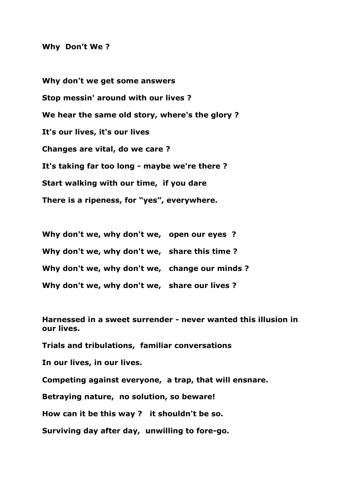## **Why Don't We ?**

**Why don't we get some answers Stop messin' around with our lives ? We hear the same old story, where's the glory ? It's our lives, it's our lives Changes are vital, do we care ? It's taking far too long - maybe we're there ? Start walking with our time, if you dare There is a ripeness, for "yes", everywhere.**

**Why don't we, why don't we, open our eyes ? Why don't we, why don't we, share this time ? Why don't we, why don't we, change our minds ? Why don't we, why don't we, share our lives ?**

**Harnessed in a sweet surrender - never wanted this illusion in our lives.**

**Trials and tribulations, familiar conversations**

**In our lives, in our lives.**

**Competing against everyone, a trap, that will ensnare.**

**Betraying nature, no solution, so beware!**

**How can it be this way ? it shouldn't be so.**

**Surviving day after day, unwilling to fore-go.**